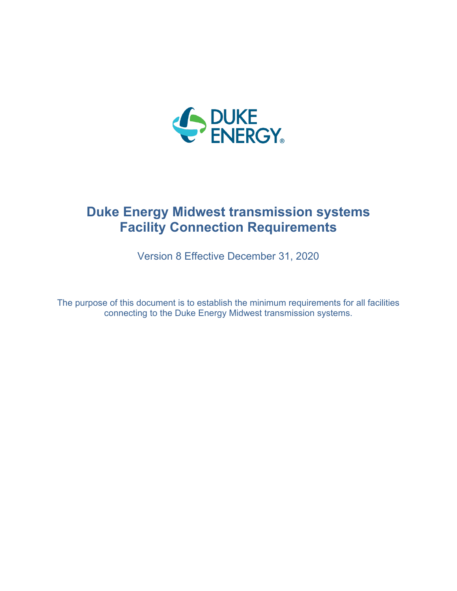

# **Duke Energy Midwest transmission systems Facility Connection Requirements**

Version 8 Effective December 31, 2020

The purpose of this document is to establish the minimum requirements for all facilities connecting to the Duke Energy Midwest transmission systems.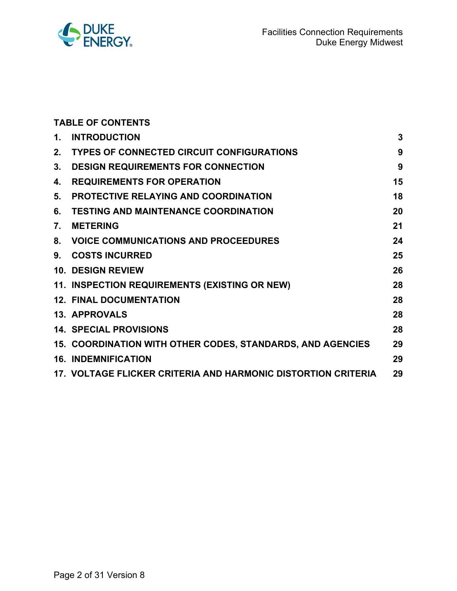

|                  | <b>TABLE OF CONTENTS</b>                                      |    |
|------------------|---------------------------------------------------------------|----|
| 1.               | <b>INTRODUCTION</b>                                           | 3  |
| 2.               | <b>TYPES OF CONNECTED CIRCUIT CONFIGURATIONS</b>              | 9  |
| 3.               | <b>DESIGN REQUIREMENTS FOR CONNECTION</b>                     | 9  |
| 4.               | <b>REQUIREMENTS FOR OPERATION</b>                             | 15 |
| 5.               | <b>PROTECTIVE RELAYING AND COORDINATION</b>                   | 18 |
| 6.               | <b>TESTING AND MAINTENANCE COORDINATION</b>                   | 20 |
| $\overline{7}$ . | <b>METERING</b>                                               | 21 |
| 8.               | <b>VOICE COMMUNICATIONS AND PROCEEDURES</b>                   | 24 |
| 9.               | <b>COSTS INCURRED</b>                                         | 25 |
|                  | <b>10. DESIGN REVIEW</b>                                      | 26 |
|                  | 11. INSPECTION REQUIREMENTS (EXISTING OR NEW)                 | 28 |
|                  | <b>12. FINAL DOCUMENTATION</b>                                | 28 |
|                  | <b>13. APPROVALS</b>                                          | 28 |
|                  | <b>14. SPECIAL PROVISIONS</b>                                 | 28 |
|                  | 15. COORDINATION WITH OTHER CODES, STANDARDS, AND AGENCIES    | 29 |
|                  | <b>16. INDEMNIFICATION</b>                                    | 29 |
|                  | 17. VOLTAGE FLICKER CRITERIA AND HARMONIC DISTORTION CRITERIA | 29 |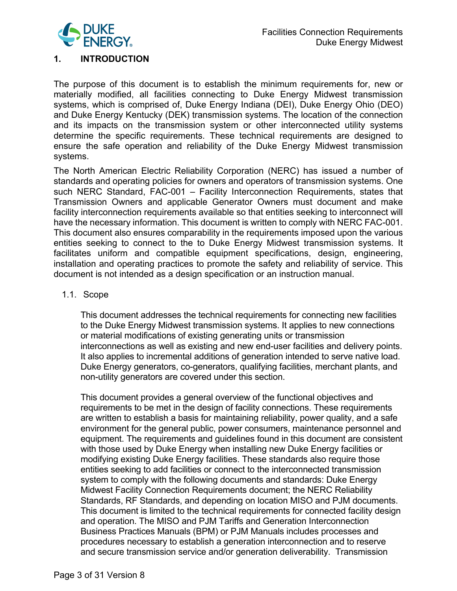

# **1. INTRODUCTION**

The purpose of this document is to establish the minimum requirements for, new or materially modified, all facilities connecting to Duke Energy Midwest transmission systems, which is comprised of, Duke Energy Indiana (DEI), Duke Energy Ohio (DEO) and Duke Energy Kentucky (DEK) transmission systems. The location of the connection and its impacts on the transmission system or other interconnected utility systems determine the specific requirements. These technical requirements are designed to ensure the safe operation and reliability of the Duke Energy Midwest transmission systems.

The North American Electric Reliability Corporation (NERC) has issued a number of standards and operating policies for owners and operators of transmission systems. One such NERC Standard, FAC-001 – Facility Interconnection Requirements, states that Transmission Owners and applicable Generator Owners must document and make facility interconnection requirements available so that entities seeking to interconnect will have the necessary information. This document is written to comply with NERC FAC-001. This document also ensures comparability in the requirements imposed upon the various entities seeking to connect to the to Duke Energy Midwest transmission systems. It facilitates uniform and compatible equipment specifications, design, engineering, installation and operating practices to promote the safety and reliability of service. This document is not intended as a design specification or an instruction manual.

#### 1.1. Scope

This document addresses the technical requirements for connecting new facilities to the Duke Energy Midwest transmission systems. It applies to new connections or material modifications of existing generating units or transmission interconnections as well as existing and new end-user facilities and delivery points. It also applies to incremental additions of generation intended to serve native load. Duke Energy generators, co-generators, qualifying facilities, merchant plants, and non-utility generators are covered under this section.

This document provides a general overview of the functional objectives and requirements to be met in the design of facility connections. These requirements are written to establish a basis for maintaining reliability, power quality, and a safe environment for the general public, power consumers, maintenance personnel and equipment. The requirements and guidelines found in this document are consistent with those used by Duke Energy when installing new Duke Energy facilities or modifying existing Duke Energy facilities. These standards also require those entities seeking to add facilities or connect to the interconnected transmission system to comply with the following documents and standards: Duke Energy Midwest Facility Connection Requirements document; the NERC Reliability Standards, RF Standards, and depending on location MISO and PJM documents. This document is limited to the technical requirements for connected facility design and operation. The MISO and PJM Tariffs and Generation Interconnection Business Practices Manuals (BPM) or PJM Manuals includes processes and procedures necessary to establish a generation interconnection and to reserve and secure transmission service and/or generation deliverability. Transmission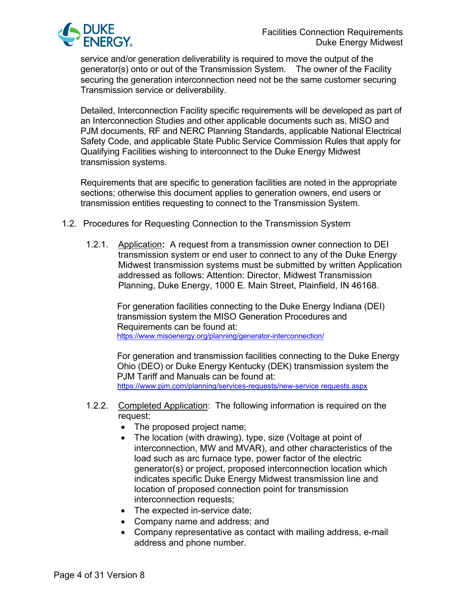

service and/or generation deliverability is required to move the output of the generator(s) onto or out of the Transmission System. The owner of the Facility securing the generation interconnection need not be the same customer securing Transmission service or deliverability.

Detailed, Interconnection Facility specific requirements will be developed as part of an Interconnection Studies and other applicable documents such as, MISO and PJM documents, RF and NERC Planning Standards, applicable National Electrical Safety Code, and applicable State Public Service Commission Rules that apply for Qualifying Facilities wishing to interconnect to the Duke Energy Midwest transmission systems.

Requirements that are specific to generation facilities are noted in the appropriate sections; otherwise this document applies to generation owners, end users or transmission entities requesting to connect to the Transmission System.

- 1.2. Procedures for Requesting Connection to the Transmission System
	- 1.2.1. Application**:** A request from a transmission owner connection to DEI transmission system or end user to connect to any of the Duke Energy Midwest transmission systems must be submitted by written Application addressed as follows: Attention: Director, Midwest Transmission Planning, Duke Energy, 1000 E. Main Street, Plainfield, IN 46168.

 For generation facilities connecting to the Duke Energy Indiana (DEI) transmission system the MISO Generation Procedures and Requirements can be found at:<br><https://www.misoenergy.org/planning/generator-interconnection/>

 For generation and transmission facilities connecting to the Duke Energy Ohio (DEO) or Duke Energy Kentucky (DEK) transmission system the [PJM Tariff and Manuals can be found at:](https://www.pjm.com/planning/services-requests/new-service%20requests.aspx) [https://www.pjm.com/planning/services-requests/new-service requests.aspx](https://www.pjm.com/planning/services-requests/new-service%20requests.aspx)

- 1.2.2. Completed Application: The following information is required on the request:
	- The proposed project name;
	- The location (with drawing), type, size (Voltage at point of interconnection, MW and MVAR), and other characteristics of the load such as arc furnace type, power factor of the electric generator(s) or project, proposed interconnection location which indicates specific Duke Energy Midwest transmission line and location of proposed connection point for transmission interconnection requests;
	- The expected in-service date;
	- Company name and address; and
	- Company representative as contact with mailing address, e-mail address and phone number.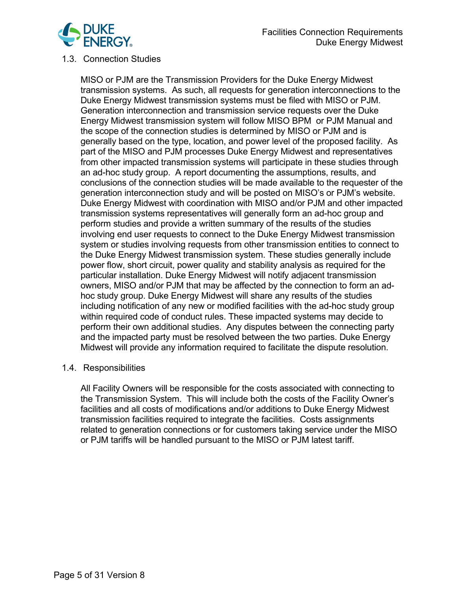

#### 1.3. Connection Studies

MISO or PJM are the Transmission Providers for the Duke Energy Midwest transmission systems. As such, all requests for generation interconnections to the Duke Energy Midwest transmission systems must be filed with MISO or PJM. Generation interconnection and transmission service requests over the Duke Energy Midwest transmission system will follow MISO BPM or PJM Manual and the scope of the connection studies is determined by MISO or PJM and is generally based on the type, location, and power level of the proposed facility. As part of the MISO and PJM processes Duke Energy Midwest and representatives from other impacted transmission systems will participate in these studies through an ad-hoc study group. A report documenting the assumptions, results, and conclusions of the connection studies will be made available to the requester of the generation interconnection study and will be posted on MISO's or PJM's website. Duke Energy Midwest with coordination with MISO and/or PJM and other impacted transmission systems representatives will generally form an ad-hoc group and perform studies and provide a written summary of the results of the studies involving end user requests to connect to the Duke Energy Midwest transmission system or studies involving requests from other transmission entities to connect to the Duke Energy Midwest transmission system. These studies generally include power flow, short circuit, power quality and stability analysis as required for the particular installation. Duke Energy Midwest will notify adjacent transmission owners, MISO and/or PJM that may be affected by the connection to form an adhoc study group. Duke Energy Midwest will share any results of the studies including notification of any new or modified facilities with the ad-hoc study group within required code of conduct rules. These impacted systems may decide to perform their own additional studies. Any disputes between the connecting party and the impacted party must be resolved between the two parties. Duke Energy Midwest will provide any information required to facilitate the dispute resolution.

#### 1.4. Responsibilities

All Facility Owners will be responsible for the costs associated with connecting to the Transmission System. This will include both the costs of the Facility Owner's facilities and all costs of modifications and/or additions to Duke Energy Midwest transmission facilities required to integrate the facilities. Costs assignments related to generation connections or for customers taking service under the MISO or PJM tariffs will be handled pursuant to the MISO or PJM latest tariff.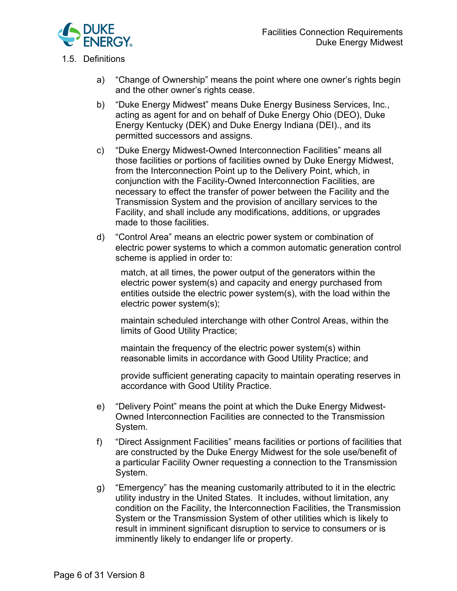

# 1.5. Definitions

- a) "Change of Ownership" means the point where one owner's rights begin and the other owner's rights cease.
- b) "Duke Energy Midwest" means Duke Energy Business Services, Inc., acting as agent for and on behalf of Duke Energy Ohio (DEO), Duke Energy Kentucky (DEK) and Duke Energy Indiana (DEI)., and its permitted successors and assigns.
- c) "Duke Energy Midwest-Owned Interconnection Facilities" means all those facilities or portions of facilities owned by Duke Energy Midwest, from the Interconnection Point up to the Delivery Point, which, in conjunction with the Facility-Owned Interconnection Facilities, are necessary to effect the transfer of power between the Facility and the Transmission System and the provision of ancillary services to the Facility, and shall include any modifications, additions, or upgrades made to those facilities.
- d) "Control Area" means an electric power system or combination of electric power systems to which a common automatic generation control scheme is applied in order to:

match, at all times, the power output of the generators within the electric power system(s) and capacity and energy purchased from entities outside the electric power system(s), with the load within the electric power system(s);

maintain scheduled interchange with other Control Areas, within the limits of Good Utility Practice;

maintain the frequency of the electric power system(s) within reasonable limits in accordance with Good Utility Practice; and

provide sufficient generating capacity to maintain operating reserves in accordance with Good Utility Practice.

- e) "Delivery Point" means the point at which the Duke Energy Midwest-Owned Interconnection Facilities are connected to the Transmission System.
- f) "Direct Assignment Facilities" means facilities or portions of facilities that are constructed by the Duke Energy Midwest for the sole use/benefit of a particular Facility Owner requesting a connection to the Transmission System.
- g) "Emergency" has the meaning customarily attributed to it in the electric utility industry in the United States. It includes, without limitation, any condition on the Facility, the Interconnection Facilities, the Transmission System or the Transmission System of other utilities which is likely to result in imminent significant disruption to service to consumers or is imminently likely to endanger life or property.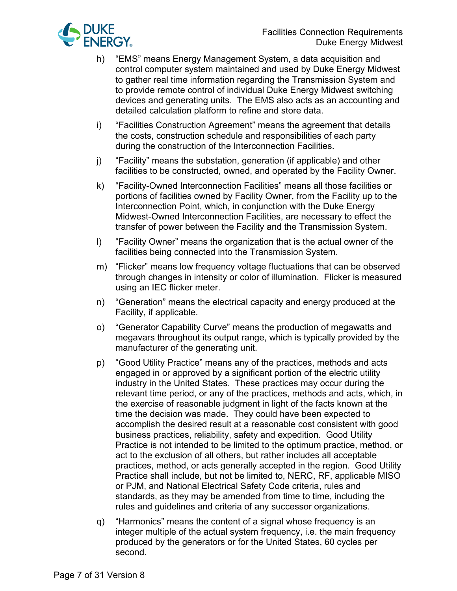

- h) "EMS" means Energy Management System, a data acquisition and control computer system maintained and used by Duke Energy Midwest to gather real time information regarding the Transmission System and to provide remote control of individual Duke Energy Midwest switching devices and generating units. The EMS also acts as an accounting and detailed calculation platform to refine and store data.
- i) "Facilities Construction Agreement" means the agreement that details the costs, construction schedule and responsibilities of each party during the construction of the Interconnection Facilities.
- j) "Facility" means the substation, generation (if applicable) and other facilities to be constructed, owned, and operated by the Facility Owner.
- k) "Facility-Owned Interconnection Facilities" means all those facilities or portions of facilities owned by Facility Owner, from the Facility up to the Interconnection Point, which, in conjunction with the Duke Energy Midwest-Owned Interconnection Facilities, are necessary to effect the transfer of power between the Facility and the Transmission System.
- l) "Facility Owner" means the organization that is the actual owner of the facilities being connected into the Transmission System.
- m) "Flicker" means low frequency voltage fluctuations that can be observed through changes in intensity or color of illumination. Flicker is measured using an IEC flicker meter.
- n) "Generation" means the electrical capacity and energy produced at the Facility, if applicable.
- o) "Generator Capability Curve" means the production of megawatts and megavars throughout its output range, which is typically provided by the manufacturer of the generating unit.
- p) "Good Utility Practice" means any of the practices, methods and acts engaged in or approved by a significant portion of the electric utility industry in the United States. These practices may occur during the relevant time period, or any of the practices, methods and acts, which, in the exercise of reasonable judgment in light of the facts known at the time the decision was made. They could have been expected to accomplish the desired result at a reasonable cost consistent with good business practices, reliability, safety and expedition. Good Utility Practice is not intended to be limited to the optimum practice, method, or act to the exclusion of all others, but rather includes all acceptable practices, method, or acts generally accepted in the region. Good Utility Practice shall include, but not be limited to, NERC, RF, applicable MISO or PJM, and National Electrical Safety Code criteria, rules and standards, as they may be amended from time to time, including the rules and guidelines and criteria of any successor organizations.
- q) "Harmonics" means the content of a signal whose frequency is an integer multiple of the actual system frequency, i.e. the main frequency produced by the generators or for the United States, 60 cycles per second.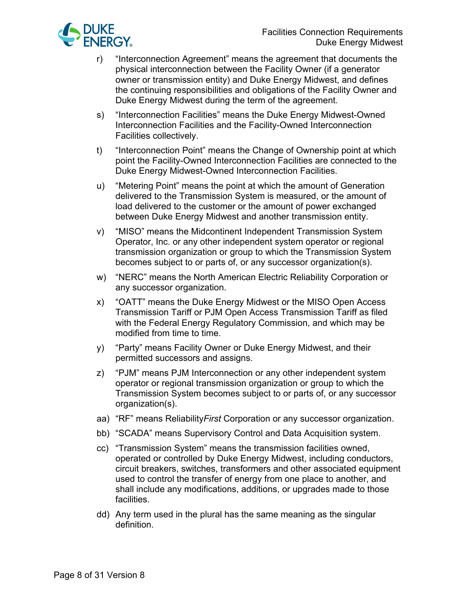

- r) "Interconnection Agreement" means the agreement that documents the physical interconnection between the Facility Owner (if a generator owner or transmission entity) and Duke Energy Midwest, and defines the continuing responsibilities and obligations of the Facility Owner and Duke Energy Midwest during the term of the agreement.
- s) "Interconnection Facilities" means the Duke Energy Midwest-Owned Interconnection Facilities and the Facility-Owned Interconnection Facilities collectively.
- t) "Interconnection Point" means the Change of Ownership point at which point the Facility-Owned Interconnection Facilities are connected to the Duke Energy Midwest-Owned Interconnection Facilities.
- u) "Metering Point" means the point at which the amount of Generation delivered to the Transmission System is measured, or the amount of load delivered to the customer or the amount of power exchanged between Duke Energy Midwest and another transmission entity.
- v) "MISO" means the Midcontinent Independent Transmission System Operator, Inc. or any other independent system operator or regional transmission organization or group to which the Transmission System becomes subject to or parts of, or any successor organization(s).
- w) "NERC" means the North American Electric Reliability Corporation or any successor organization.
- x) "OATT" means the Duke Energy Midwest or the MISO Open Access Transmission Tariff or PJM Open Access Transmission Tariff as filed with the Federal Energy Regulatory Commission, and which may be modified from time to time.
- y) "Party" means Facility Owner or Duke Energy Midwest, and their permitted successors and assigns.
- z) "PJM" means PJM Interconnection or any other independent system operator or regional transmission organization or group to which the Transmission System becomes subject to or parts of, or any successor organization(s).
- aa) "RF" means Reliability*First* Corporation or any successor organization.
- bb) "SCADA" means Supervisory Control and Data Acquisition system.
- cc) "Transmission System" means the transmission facilities owned, operated or controlled by Duke Energy Midwest, including conductors, circuit breakers, switches, transformers and other associated equipment used to control the transfer of energy from one place to another, and shall include any modifications, additions, or upgrades made to those facilities.
- dd) Any term used in the plural has the same meaning as the singular definition.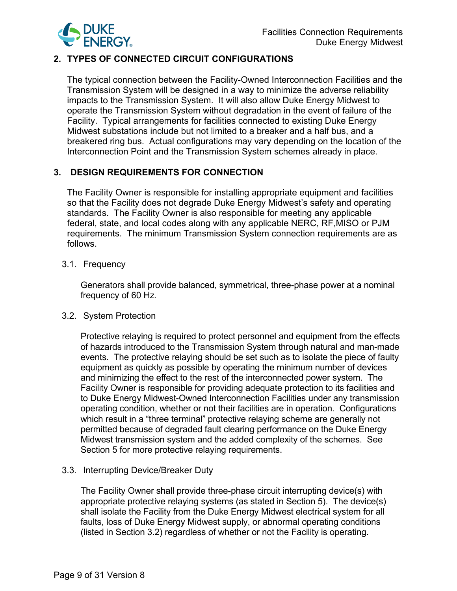

# **2. TYPES OF CONNECTED CIRCUIT CONFIGURATIONS**

The typical connection between the Facility-Owned Interconnection Facilities and the Transmission System will be designed in a way to minimize the adverse reliability impacts to the Transmission System. It will also allow Duke Energy Midwest to operate the Transmission System without degradation in the event of failure of the Facility. Typical arrangements for facilities connected to existing Duke Energy Midwest substations include but not limited to a breaker and a half bus, and a breakered ring bus. Actual configurations may vary depending on the location of the Interconnection Point and the Transmission System schemes already in place.

# **3. DESIGN REQUIREMENTS FOR CONNECTION**

The Facility Owner is responsible for installing appropriate equipment and facilities so that the Facility does not degrade Duke Energy Midwest's safety and operating standards. The Facility Owner is also responsible for meeting any applicable federal, state, and local codes along with any applicable NERC, RF,MISO or PJM requirements. The minimum Transmission System connection requirements are as follows.

# 3.1. Frequency

Generators shall provide balanced, symmetrical, three-phase power at a nominal frequency of 60 Hz.

## 3.2. System Protection

Protective relaying is required to protect personnel and equipment from the effects of hazards introduced to the Transmission System through natural and man-made events. The protective relaying should be set such as to isolate the piece of faulty equipment as quickly as possible by operating the minimum number of devices and minimizing the effect to the rest of the interconnected power system. The Facility Owner is responsible for providing adequate protection to its facilities and to Duke Energy Midwest-Owned Interconnection Facilities under any transmission operating condition, whether or not their facilities are in operation. Configurations which result in a "three terminal" protective relaying scheme are generally not permitted because of degraded fault clearing performance on the Duke Energy Midwest transmission system and the added complexity of the schemes. See Section 5 for more protective relaying requirements.

# 3.3. Interrupting Device/Breaker Duty

The Facility Owner shall provide three-phase circuit interrupting device(s) with appropriate protective relaying systems (as stated in Section 5). The device(s) shall isolate the Facility from the Duke Energy Midwest electrical system for all faults, loss of Duke Energy Midwest supply, or abnormal operating conditions (listed in Section 3.2) regardless of whether or not the Facility is operating.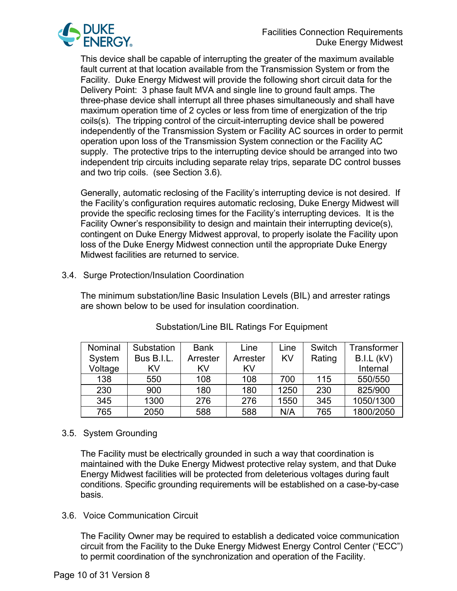

This device shall be capable of interrupting the greater of the maximum available fault current at that location available from the Transmission System or from the Facility. Duke Energy Midwest will provide the following short circuit data for the Delivery Point: 3 phase fault MVA and single line to ground fault amps. The three-phase device shall interrupt all three phases simultaneously and shall have maximum operation time of 2 cycles or less from time of energization of the trip coils(s). The tripping control of the circuit-interrupting device shall be powered independently of the Transmission System or Facility AC sources in order to permit operation upon loss of the Transmission System connection or the Facility AC supply. The protective trips to the interrupting device should be arranged into two independent trip circuits including separate relay trips, separate DC control busses and two trip coils. (see Section 3.6).

Generally, automatic reclosing of the Facility's interrupting device is not desired. If the Facility's configuration requires automatic reclosing, Duke Energy Midwest will provide the specific reclosing times for the Facility's interrupting devices. It is the Facility Owner's responsibility to design and maintain their interrupting device(s), contingent on Duke Energy Midwest approval, to properly isolate the Facility upon loss of the Duke Energy Midwest connection until the appropriate Duke Energy Midwest facilities are returned to service.

## 3.4. Surge Protection/Insulation Coordination

The minimum substation/line Basic Insulation Levels (BIL) and arrester ratings are shown below to be used for insulation coordination.

| Nominal | Substation | <b>Bank</b> | Line     | Line | Switch | Transformer |
|---------|------------|-------------|----------|------|--------|-------------|
| System  | Bus B.I.L. | Arrester    | Arrester | KV   | Rating | B.I.L (kV)  |
| Voltage | KV         | KV          | KV       |      |        | Internal    |
| 138     | 550        | 108         | 108      | 700  | 115    | 550/550     |
| 230     | 900        | 180         | 180      | 1250 | 230    | 825/900     |
| 345     | 1300       | 276         | 276      | 1550 | 345    | 1050/1300   |
| 765     | 2050       | 588         | 588      | N/A  | 765    | 1800/2050   |

# Substation/Line BIL Ratings For Equipment

## 3.5. System Grounding

The Facility must be electrically grounded in such a way that coordination is maintained with the Duke Energy Midwest protective relay system, and that Duke Energy Midwest facilities will be protected from deleterious voltages during fault conditions. Specific grounding requirements will be established on a case-by-case basis.

#### 3.6. Voice Communication Circuit

The Facility Owner may be required to establish a dedicated voice communication circuit from the Facility to the Duke Energy Midwest Energy Control Center ("ECC") to permit coordination of the synchronization and operation of the Facility.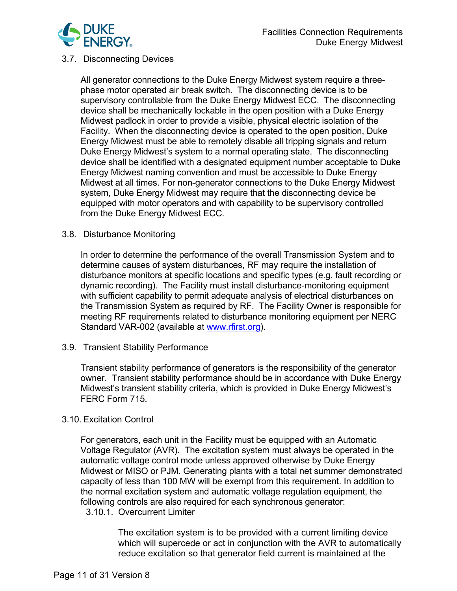

#### 3.7. Disconnecting Devices

All generator connections to the Duke Energy Midwest system require a threephase motor operated air break switch. The disconnecting device is to be supervisory controllable from the Duke Energy Midwest ECC. The disconnecting device shall be mechanically lockable in the open position with a Duke Energy Midwest padlock in order to provide a visible, physical electric isolation of the Facility. When the disconnecting device is operated to the open position, Duke Energy Midwest must be able to remotely disable all tripping signals and return Duke Energy Midwest's system to a normal operating state. The disconnecting device shall be identified with a designated equipment number acceptable to Duke Energy Midwest naming convention and must be accessible to Duke Energy Midwest at all times. For non-generator connections to the Duke Energy Midwest system, Duke Energy Midwest may require that the disconnecting device be equipped with motor operators and with capability to be supervisory controlled from the Duke Energy Midwest ECC.

#### 3.8. Disturbance Monitoring

In order to determine the performance of the overall Transmission System and to determine causes of system disturbances, RF may require the installation of disturbance monitors at specific locations and specific types (e.g. fault recording or dynamic recording). The Facility must install disturbance-monitoring equipment with sufficient capability to permit adequate analysis of electrical disturbances on the Transmission System as required by RF. The Facility Owner is responsible for meeting RF requirements related to disturbance monitoring equipment per NERC Standard VAR-002 (available at [www.rfirst.org\)](http://www.rfirst.org/).

3.9. Transient Stability Performance

Transient stability performance of generators is the responsibility of the generator owner. Transient stability performance should be in accordance with Duke Energy Midwest's transient stability criteria, which is provided in Duke Energy Midwest's FERC Form 715.

#### 3.10. Excitation Control

For generators, each unit in the Facility must be equipped with an Automatic Voltage Regulator (AVR). The excitation system must always be operated in the automatic voltage control mode unless approved otherwise by Duke Energy Midwest or MISO or PJM. Generating plants with a total net summer demonstrated capacity of less than 100 MW will be exempt from this requirement. In addition to the normal excitation system and automatic voltage regulation equipment, the following controls are also required for each synchronous generator: 3.10.1. Overcurrent Limiter

> The excitation system is to be provided with a current limiting device which will supercede or act in conjunction with the AVR to automatically reduce excitation so that generator field current is maintained at the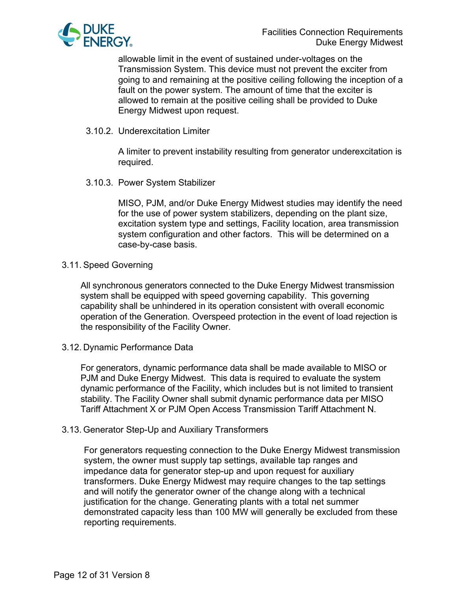

allowable limit in the event of sustained under-voltages on the Transmission System. This device must not prevent the exciter from going to and remaining at the positive ceiling following the inception of a fault on the power system. The amount of time that the exciter is allowed to remain at the positive ceiling shall be provided to Duke Energy Midwest upon request.

3.10.2. Underexcitation Limiter

A limiter to prevent instability resulting from generator underexcitation is required.

3.10.3. Power System Stabilizer

MISO, PJM, and/or Duke Energy Midwest studies may identify the need for the use of power system stabilizers, depending on the plant size, excitation system type and settings, Facility location, area transmission system configuration and other factors. This will be determined on a case-by-case basis.

#### 3.11. Speed Governing

All synchronous generators connected to the Duke Energy Midwest transmission system shall be equipped with speed governing capability. This governing capability shall be unhindered in its operation consistent with overall economic operation of the Generation. Overspeed protection in the event of load rejection is the responsibility of the Facility Owner.

#### 3.12. Dynamic Performance Data

For generators, dynamic performance data shall be made available to MISO or PJM and Duke Energy Midwest. This data is required to evaluate the system dynamic performance of the Facility, which includes but is not limited to transient stability. The Facility Owner shall submit dynamic performance data per MISO Tariff Attachment X or PJM Open Access Transmission Tariff Attachment N.

#### 3.13. Generator Step-Up and Auxiliary Transformers

For generators requesting connection to the Duke Energy Midwest transmission system, the owner must supply tap settings, available tap ranges and impedance data for generator step-up and upon request for auxiliary transformers. Duke Energy Midwest may require changes to the tap settings and will notify the generator owner of the change along with a technical justification for the change. Generating plants with a total net summer demonstrated capacity less than 100 MW will generally be excluded from these reporting requirements.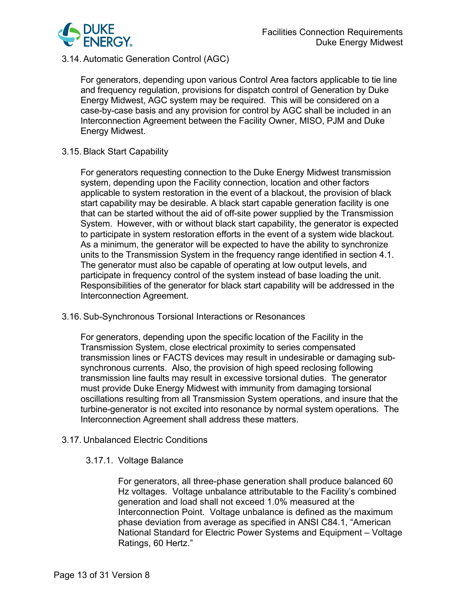

# 3.14. Automatic Generation Control (AGC)

For generators, depending upon various Control Area factors applicable to tie line and frequency regulation, provisions for dispatch control of Generation by Duke Energy Midwest, AGC system may be required. This will be considered on a case-by-case basis and any provision for control by AGC shall be included in an Interconnection Agreement between the Facility Owner, MISO, PJM and Duke Energy Midwest.

#### 3.15. Black Start Capability

For generators requesting connection to the Duke Energy Midwest transmission system, depending upon the Facility connection, location and other factors applicable to system restoration in the event of a blackout, the provision of black start capability may be desirable. A black start capable generation facility is one that can be started without the aid of off-site power supplied by the Transmission System. However, with or without black start capability, the generator is expected to participate in system restoration efforts in the event of a system wide blackout. As a minimum, the generator will be expected to have the ability to synchronize units to the Transmission System in the frequency range identified in section 4.1. The generator must also be capable of operating at low output levels, and participate in frequency control of the system instead of base loading the unit. Responsibilities of the generator for black start capability will be addressed in the Interconnection Agreement.

## 3.16. Sub-Synchronous Torsional Interactions or Resonances

For generators, depending upon the specific location of the Facility in the Transmission System, close electrical proximity to series compensated transmission lines or FACTS devices may result in undesirable or damaging subsynchronous currents. Also, the provision of high speed reclosing following transmission line faults may result in excessive torsional duties. The generator must provide Duke Energy Midwest with immunity from damaging torsional oscillations resulting from all Transmission System operations, and insure that the turbine-generator is not excited into resonance by normal system operations. The Interconnection Agreement shall address these matters.

## 3.17. Unbalanced Electric Conditions

## 3.17.1. Voltage Balance

For generators, all three-phase generation shall produce balanced 60 Hz voltages. Voltage unbalance attributable to the Facility's combined generation and load shall not exceed 1.0% measured at the Interconnection Point. Voltage unbalance is defined as the maximum phase deviation from average as specified in ANSI C84.1, "American National Standard for Electric Power Systems and Equipment – Voltage Ratings, 60 Hertz."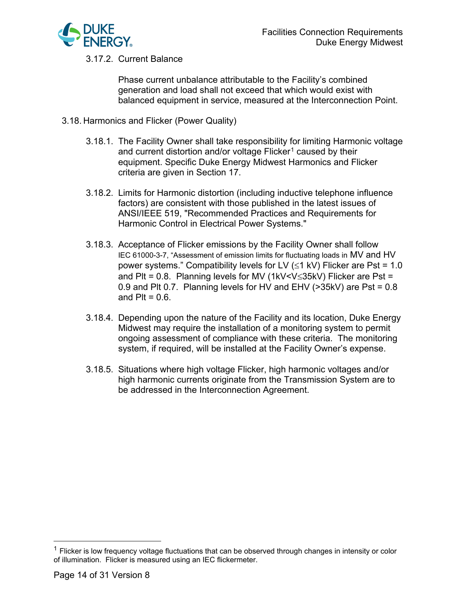

3.17.2. Current Balance

Phase current unbalance attributable to the Facility's combined generation and load shall not exceed that which would exist with balanced equipment in service, measured at the Interconnection Point.

- 3.18. Harmonics and Flicker (Power Quality)
	- 3.18.1. The Facility Owner shall take responsibility for limiting Harmonic voltage and current distortion and/or voltage  $F$ licker<sup>[1](#page-13-0)</sup> caused by their equipment. Specific Duke Energy Midwest Harmonics and Flicker criteria are given in Section 17.
	- 3.18.2. Limits for Harmonic distortion (including inductive telephone influence factors) are consistent with those published in the latest issues of ANSI/IEEE 519, "Recommended Practices and Requirements for Harmonic Control in Electrical Power Systems."
	- 3.18.3. Acceptance of Flicker emissions by the Facility Owner shall follow IEC 61000-3-7, "Assessment of emission limits for fluctuating loads in MV and HV power systems." Compatibility levels for LV ( $\leq$ 1 kV) Flicker are Pst = 1.0 and Plt = 0.8. Planning levels for MV (1kV<V≤35kV) Flicker are Pst = 0.9 and Plt 0.7. Planning levels for HV and EHV (>35kV) are Pst = 0.8 and  $PIt = 0.6$ .
	- 3.18.4. Depending upon the nature of the Facility and its location, Duke Energy Midwest may require the installation of a monitoring system to permit ongoing assessment of compliance with these criteria. The monitoring system, if required, will be installed at the Facility Owner's expense.
	- 3.18.5. Situations where high voltage Flicker, high harmonic voltages and/or high harmonic currents originate from the Transmission System are to be addressed in the Interconnection Agreement.

<span id="page-13-0"></span> $1$  Flicker is low frequency voltage fluctuations that can be observed through changes in intensity or color of illumination. Flicker is measured using an IEC flickermeter.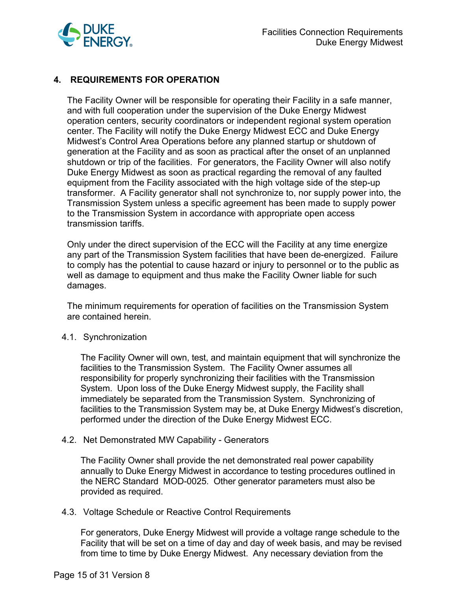

# **4. REQUIREMENTS FOR OPERATION**

The Facility Owner will be responsible for operating their Facility in a safe manner, and with full cooperation under the supervision of the Duke Energy Midwest operation centers, security coordinators or independent regional system operation center. The Facility will notify the Duke Energy Midwest ECC and Duke Energy Midwest's Control Area Operations before any planned startup or shutdown of generation at the Facility and as soon as practical after the onset of an unplanned shutdown or trip of the facilities. For generators, the Facility Owner will also notify Duke Energy Midwest as soon as practical regarding the removal of any faulted equipment from the Facility associated with the high voltage side of the step-up transformer. A Facility generator shall not synchronize to, nor supply power into, the Transmission System unless a specific agreement has been made to supply power to the Transmission System in accordance with appropriate open access transmission tariffs.

Only under the direct supervision of the ECC will the Facility at any time energize any part of the Transmission System facilities that have been de-energized. Failure to comply has the potential to cause hazard or injury to personnel or to the public as well as damage to equipment and thus make the Facility Owner liable for such damages.

The minimum requirements for operation of facilities on the Transmission System are contained herein.

#### 4.1. Synchronization

The Facility Owner will own, test, and maintain equipment that will synchronize the facilities to the Transmission System. The Facility Owner assumes all responsibility for properly synchronizing their facilities with the Transmission System. Upon loss of the Duke Energy Midwest supply, the Facility shall immediately be separated from the Transmission System. Synchronizing of facilities to the Transmission System may be, at Duke Energy Midwest's discretion, performed under the direction of the Duke Energy Midwest ECC.

#### 4.2. Net Demonstrated MW Capability - Generators

The Facility Owner shall provide the net demonstrated real power capability annually to Duke Energy Midwest in accordance to testing procedures outlined in the NERC Standard MOD-0025. Other generator parameters must also be provided as required.

#### 4.3. Voltage Schedule or Reactive Control Requirements

For generators, Duke Energy Midwest will provide a voltage range schedule to the Facility that will be set on a time of day and day of week basis, and may be revised from time to time by Duke Energy Midwest. Any necessary deviation from the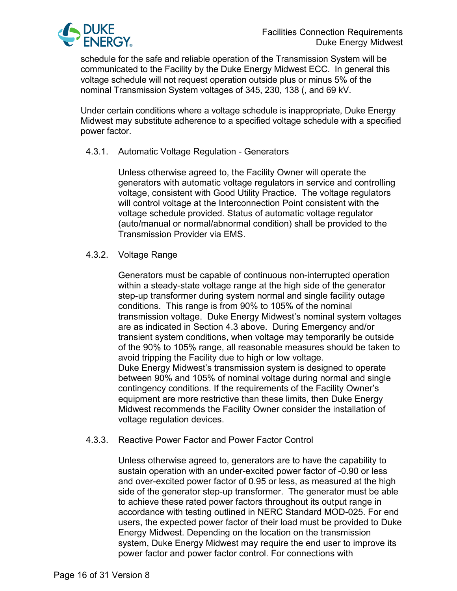

schedule for the safe and reliable operation of the Transmission System will be communicated to the Facility by the Duke Energy Midwest ECC. In general this voltage schedule will not request operation outside plus or minus 5% of the nominal Transmission System voltages of 345, 230, 138 (, and 69 kV.

Under certain conditions where a voltage schedule is inappropriate, Duke Energy Midwest may substitute adherence to a specified voltage schedule with a specified power factor.

## 4.3.1. Automatic Voltage Regulation - Generators

Unless otherwise agreed to, the Facility Owner will operate the generators with automatic voltage regulators in service and controlling voltage, consistent with Good Utility Practice. The voltage regulators will control voltage at the Interconnection Point consistent with the voltage schedule provided. Status of automatic voltage regulator (auto/manual or normal/abnormal condition) shall be provided to the Transmission Provider via EMS.

## 4.3.2. Voltage Range

Generators must be capable of continuous non-interrupted operation within a steady-state voltage range at the high side of the generator step-up transformer during system normal and single facility outage conditions. This range is from 90% to 105% of the nominal transmission voltage. Duke Energy Midwest's nominal system voltages are as indicated in Section 4.3 above. During Emergency and/or transient system conditions, when voltage may temporarily be outside of the 90% to 105% range, all reasonable measures should be taken to avoid tripping the Facility due to high or low voltage. Duke Energy Midwest's transmission system is designed to operate between 90% and 105% of nominal voltage during normal and single contingency conditions. If the requirements of the Facility Owner's equipment are more restrictive than these limits, then Duke Energy Midwest recommends the Facility Owner consider the installation of voltage regulation devices.

## 4.3.3. Reactive Power Factor and Power Factor Control

Unless otherwise agreed to, generators are to have the capability to sustain operation with an under-excited power factor of -0.90 or less and over-excited power factor of 0.95 or less, as measured at the high side of the generator step-up transformer. The generator must be able to achieve these rated power factors throughout its output range in accordance with testing outlined in NERC Standard MOD-025. For end users, the expected power factor of their load must be provided to Duke Energy Midwest. Depending on the location on the transmission system, Duke Energy Midwest may require the end user to improve its power factor and power factor control. For connections with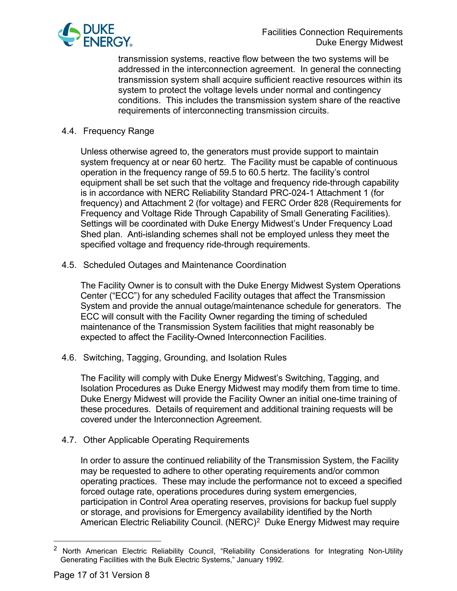

transmission systems, reactive flow between the two systems will be addressed in the interconnection agreement. In general the connecting transmission system shall acquire sufficient reactive resources within its system to protect the voltage levels under normal and contingency conditions. This includes the transmission system share of the reactive requirements of interconnecting transmission circuits.

#### 4.4. Frequency Range

Unless otherwise agreed to, the generators must provide support to maintain system frequency at or near 60 hertz. The Facility must be capable of continuous operation in the frequency range of 59.5 to 60.5 hertz. The facility's control equipment shall be set such that the voltage and frequency ride-through capability is in accordance with NERC Reliability Standard PRC-024-1 Attachment 1 (for frequency) and Attachment 2 (for voltage) and FERC Order 828 (Requirements for Frequency and Voltage Ride Through Capability of Small Generating Facilities). Settings will be coordinated with Duke Energy Midwest's Under Frequency Load Shed plan. Anti-islanding schemes shall not be employed unless they meet the specified voltage and frequency ride-through requirements.

4.5. Scheduled Outages and Maintenance Coordination

The Facility Owner is to consult with the Duke Energy Midwest System Operations Center ("ECC") for any scheduled Facility outages that affect the Transmission System and provide the annual outage/maintenance schedule for generators. The ECC will consult with the Facility Owner regarding the timing of scheduled maintenance of the Transmission System facilities that might reasonably be expected to affect the Facility-Owned Interconnection Facilities.

4.6. Switching, Tagging, Grounding, and Isolation Rules

The Facility will comply with Duke Energy Midwest's Switching, Tagging, and Isolation Procedures as Duke Energy Midwest may modify them from time to time. Duke Energy Midwest will provide the Facility Owner an initial one-time training of these procedures. Details of requirement and additional training requests will be covered under the Interconnection Agreement.

4.7. Other Applicable Operating Requirements

In order to assure the continued reliability of the Transmission System, the Facility may be requested to adhere to other operating requirements and/or common operating practices. These may include the performance not to exceed a specified forced outage rate, operations procedures during system emergencies, participation in Control Area operating reserves, provisions for backup fuel supply or storage, and provisions for Emergency availability identified by the North American Electric Reliability Council. (NERC)<sup>2</sup> Duke Energy Midwest may require

<span id="page-16-0"></span><sup>&</sup>lt;sup>2</sup> North American Electric Reliability Council, "Reliability Considerations for Integrating Non-Utility Generating Facilities with the Bulk Electric Systems," January 1992.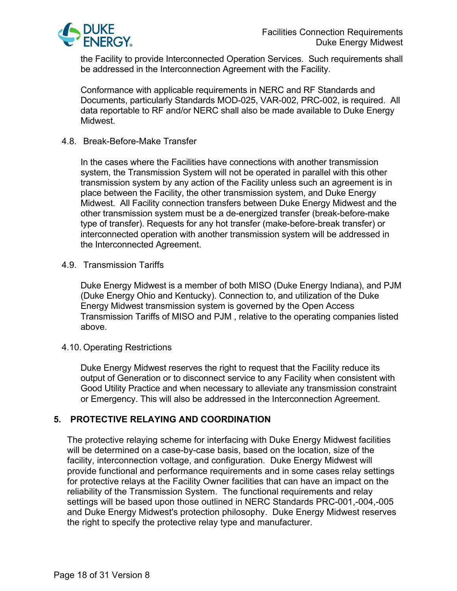

the Facility to provide Interconnected Operation Services. Such requirements shall be addressed in the Interconnection Agreement with the Facility.

Conformance with applicable requirements in NERC and RF Standards and Documents, particularly Standards MOD-025, VAR-002, PRC-002, is required. All data reportable to RF and/or NERC shall also be made available to Duke Energy Midwest.

#### 4.8. Break-Before-Make Transfer

In the cases where the Facilities have connections with another transmission system, the Transmission System will not be operated in parallel with this other transmission system by any action of the Facility unless such an agreement is in place between the Facility, the other transmission system, and Duke Energy Midwest. All Facility connection transfers between Duke Energy Midwest and the other transmission system must be a de-energized transfer (break-before-make type of transfer). Requests for any hot transfer (make-before-break transfer) or interconnected operation with another transmission system will be addressed in the Interconnected Agreement.

4.9. Transmission Tariffs

Duke Energy Midwest is a member of both MISO (Duke Energy Indiana), and PJM (Duke Energy Ohio and Kentucky). Connection to, and utilization of the Duke Energy Midwest transmission system is governed by the Open Access Transmission Tariffs of MISO and PJM , relative to the operating companies listed above.

#### 4.10. Operating Restrictions

Duke Energy Midwest reserves the right to request that the Facility reduce its output of Generation or to disconnect service to any Facility when consistent with Good Utility Practice and when necessary to alleviate any transmission constraint or Emergency. This will also be addressed in the Interconnection Agreement.

## **5. PROTECTIVE RELAYING AND COORDINATION**

The protective relaying scheme for interfacing with Duke Energy Midwest facilities will be determined on a case-by-case basis, based on the location, size of the facility, interconnection voltage, and configuration. Duke Energy Midwest will provide functional and performance requirements and in some cases relay settings for protective relays at the Facility Owner facilities that can have an impact on the reliability of the Transmission System. The functional requirements and relay settings will be based upon those outlined in NERC Standards PRC-001,-004,-005 and Duke Energy Midwest's protection philosophy. Duke Energy Midwest reserves the right to specify the protective relay type and manufacturer.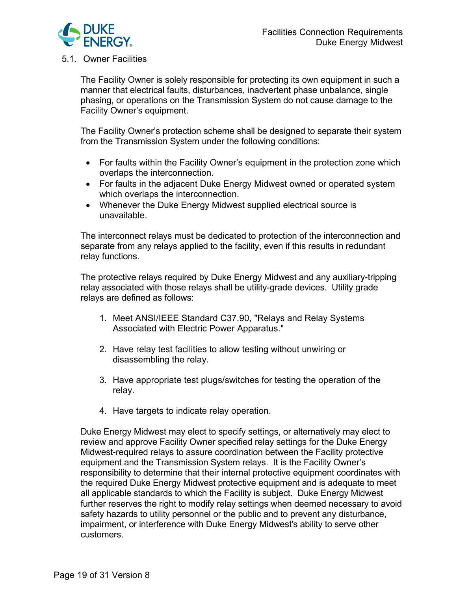

#### 5.1. Owner Facilities

The Facility Owner is solely responsible for protecting its own equipment in such a manner that electrical faults, disturbances, inadvertent phase unbalance, single phasing, or operations on the Transmission System do not cause damage to the Facility Owner's equipment.

The Facility Owner's protection scheme shall be designed to separate their system from the Transmission System under the following conditions:

- For faults within the Facility Owner's equipment in the protection zone which overlaps the interconnection.
- For faults in the adjacent Duke Energy Midwest owned or operated system which overlaps the interconnection.
- Whenever the Duke Energy Midwest supplied electrical source is unavailable.

The interconnect relays must be dedicated to protection of the interconnection and separate from any relays applied to the facility, even if this results in redundant relay functions.

The protective relays required by Duke Energy Midwest and any auxiliary-tripping relay associated with those relays shall be utility-grade devices. Utility grade relays are defined as follows:

- 1. Meet ANSI/IEEE Standard C37.90, "Relays and Relay Systems Associated with Electric Power Apparatus."
- 2. Have relay test facilities to allow testing without unwiring or disassembling the relay.
- 3. Have appropriate test plugs/switches for testing the operation of the relay.
- 4. Have targets to indicate relay operation.

Duke Energy Midwest may elect to specify settings, or alternatively may elect to review and approve Facility Owner specified relay settings for the Duke Energy Midwest-required relays to assure coordination between the Facility protective equipment and the Transmission System relays. It is the Facility Owner's responsibility to determine that their internal protective equipment coordinates with the required Duke Energy Midwest protective equipment and is adequate to meet all applicable standards to which the Facility is subject. Duke Energy Midwest further reserves the right to modify relay settings when deemed necessary to avoid safety hazards to utility personnel or the public and to prevent any disturbance, impairment, or interference with Duke Energy Midwest's ability to serve other customers.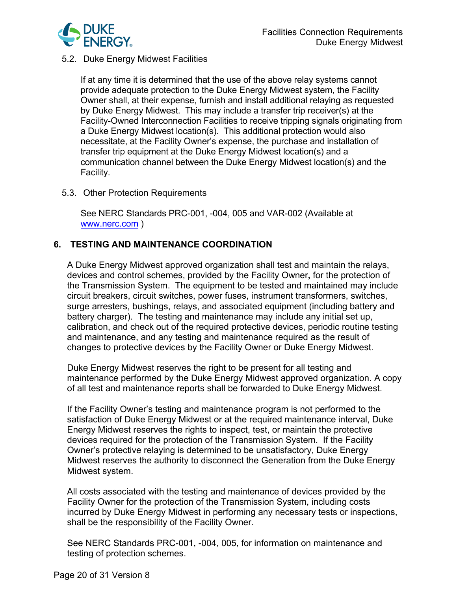

## 5.2. Duke Energy Midwest Facilities

If at any time it is determined that the use of the above relay systems cannot provide adequate protection to the Duke Energy Midwest system, the Facility Owner shall, at their expense, furnish and install additional relaying as requested by Duke Energy Midwest. This may include a transfer trip receiver(s) at the Facility-Owned Interconnection Facilities to receive tripping signals originating from a Duke Energy Midwest location(s). This additional protection would also necessitate, at the Facility Owner's expense, the purchase and installation of transfer trip equipment at the Duke Energy Midwest location(s) and a communication channel between the Duke Energy Midwest location(s) and the Facility.

## 5.3. Other Protection Requirements

See NERC Standards PRC-001, -004, 005 and VAR-002 (Available at [www.nerc.com](https://www.nerc.com/Pages/default.aspx) )

# **6. TESTING AND MAINTENANCE COORDINATION**

A Duke Energy Midwest approved organization shall test and maintain the relays, devices and control schemes, provided by the Facility Owner**,** for the protection of the Transmission System. The equipment to be tested and maintained may include circuit breakers, circuit switches, power fuses, instrument transformers, switches, surge arresters, bushings, relays, and associated equipment (including battery and battery charger). The testing and maintenance may include any initial set up, calibration, and check out of the required protective devices, periodic routine testing and maintenance, and any testing and maintenance required as the result of changes to protective devices by the Facility Owner or Duke Energy Midwest.

Duke Energy Midwest reserves the right to be present for all testing and maintenance performed by the Duke Energy Midwest approved organization. A copy of all test and maintenance reports shall be forwarded to Duke Energy Midwest.

If the Facility Owner's testing and maintenance program is not performed to the satisfaction of Duke Energy Midwest or at the required maintenance interval, Duke Energy Midwest reserves the rights to inspect, test, or maintain the protective devices required for the protection of the Transmission System. If the Facility Owner's protective relaying is determined to be unsatisfactory, Duke Energy Midwest reserves the authority to disconnect the Generation from the Duke Energy Midwest system.

All costs associated with the testing and maintenance of devices provided by the Facility Owner for the protection of the Transmission System, including costs incurred by Duke Energy Midwest in performing any necessary tests or inspections, shall be the responsibility of the Facility Owner.

See NERC Standards PRC-001, -004, 005, for information on maintenance and testing of protection schemes.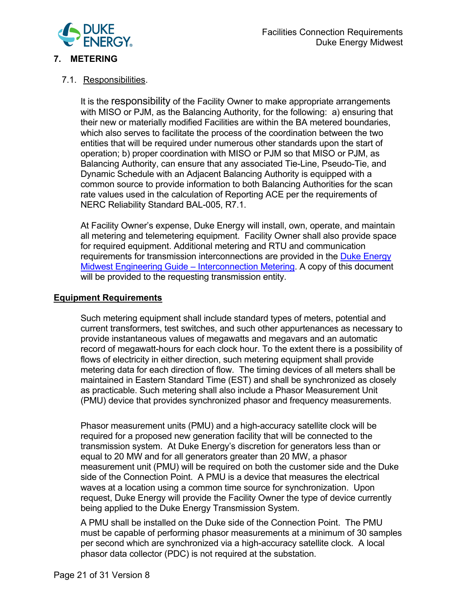

# **7. METERING**

## 7.1. Responsibilities.

It is the responsibility of the Facility Owner to make appropriate arrangements with MISO or PJM, as the Balancing Authority, for the following: a) ensuring that their new or materially modified Facilities are within the BA metered boundaries, which also serves to facilitate the process of the coordination between the two entities that will be required under numerous other standards upon the start of operation; b) proper coordination with MISO or PJM so that MISO or PJM, as Balancing Authority, can ensure that any associated Tie-Line, Pseudo-Tie, and Dynamic Schedule with an Adjacent Balancing Authority is equipped with a common source to provide information to both Balancing Authorities for the scan rate values used in the calculation of Reporting ACE per the requirements of NERC Reliability Standard BAL-005, R7.1.

At Facility Owner's expense, Duke Energy will install, own, operate, and maintain all metering and telemetering equipment. Facility Owner shall also provide space for required equipment. Additional metering and RTU and communication requirements for transmission interconnections are provided in the Duke Energy Midwest Engineering Guide – [Interconnection Metering.](file://CINCYFILE1/BULK/TranPlan/NERC%20STANDARDS/2009%20Data/FAC/FAC-001-0/InterconnectionMeteringGuide.pdf) A copy of this document will be provided to the requesting transmission entity.

## **Equipment Requirements**

Such metering equipment shall include standard types of meters, potential and current transformers, test switches, and such other appurtenances as necessary to provide instantaneous values of megawatts and megavars and an automatic record of megawatt-hours for each clock hour. To the extent there is a possibility of flows of electricity in either direction, such metering equipment shall provide metering data for each direction of flow. The timing devices of all meters shall be maintained in Eastern Standard Time (EST) and shall be synchronized as closely as practicable. Such metering shall also include a Phasor Measurement Unit (PMU) device that provides synchronized phasor and frequency measurements.

Phasor measurement units (PMU) and a high-accuracy satellite clock will be required for a proposed new generation facility that will be connected to the transmission system. At Duke Energy's discretion for generators less than or equal to 20 MW and for all generators greater than 20 MW, a phasor measurement unit (PMU) will be required on both the customer side and the Duke side of the Connection Point. A PMU is a device that measures the electrical waves at a location using a common time source for synchronization. Upon request, Duke Energy will provide the Facility Owner the type of device currently being applied to the Duke Energy Transmission System.

A PMU shall be installed on the Duke side of the Connection Point. The PMU must be capable of performing phasor measurements at a minimum of 30 samples per second which are synchronized via a high-accuracy satellite clock. A local phasor data collector (PDC) is not required at the substation.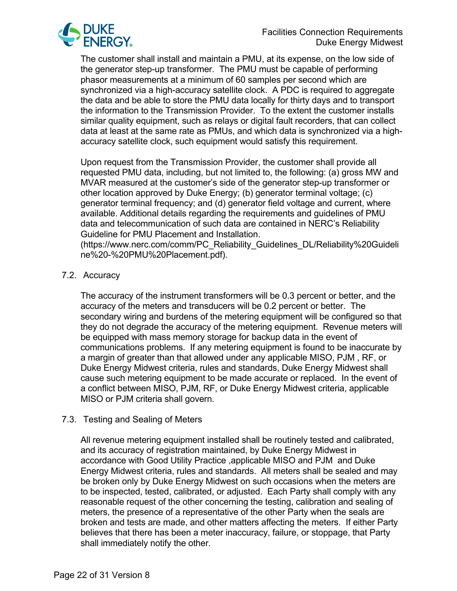

The customer shall install and maintain a PMU, at its expense, on the low side of the generator step-up transformer. The PMU must be capable of performing phasor measurements at a minimum of 60 samples per second which are synchronized via a high-accuracy satellite clock. A PDC is required to aggregate the data and be able to store the PMU data locally for thirty days and to transport the information to the Transmission Provider. To the extent the customer installs similar quality equipment, such as relays or digital fault recorders, that can collect data at least at the same rate as PMUs, and which data is synchronized via a highaccuracy satellite clock, such equipment would satisfy this requirement.

Upon request from the Transmission Provider, the customer shall provide all requested PMU data, including, but not limited to, the following: (a) gross MW and MVAR measured at the customer's side of the generator step-up transformer or other location approved by Duke Energy; (b) generator terminal voltage; (c) generator terminal frequency; and (d) generator field voltage and current, where available. Additional details regarding the requirements and guidelines of PMU data and telecommunication of such data are contained in NERC's Reliability Guideline for PMU Placement and Installation.

[\(https://www.nerc.com/comm/PC\\_Reliability\\_Guidelines\\_DL/Reliability%20Guideli](https://www.nerc.com/comm/PC_Reliability_Guidelines_DL/Reliability%20Guideline%20-%20PMU%20Placement.pdf) [ne%20-%20PMU%20Placement.pdf\)](https://www.nerc.com/comm/PC_Reliability_Guidelines_DL/Reliability%20Guideline%20-%20PMU%20Placement.pdf).

## 7.2. Accuracy

The accuracy of the instrument transformers will be 0.3 percent or better, and the accuracy of the meters and transducers will be 0.2 percent or better. The secondary wiring and burdens of the metering equipment will be configured so that they do not degrade the accuracy of the metering equipment. Revenue meters will be equipped with mass memory storage for backup data in the event of communications problems. If any metering equipment is found to be inaccurate by a margin of greater than that allowed under any applicable MISO, PJM , RF, or Duke Energy Midwest criteria, rules and standards, Duke Energy Midwest shall cause such metering equipment to be made accurate or replaced. In the event of a conflict between MISO, PJM, RF, or Duke Energy Midwest criteria, applicable MISO or PJM criteria shall govern.

## 7.3. Testing and Sealing of Meters

All revenue metering equipment installed shall be routinely tested and calibrated, and its accuracy of registration maintained, by Duke Energy Midwest in accordance with Good Utility Practice ,applicable MISO and PJM and Duke Energy Midwest criteria, rules and standards. All meters shall be sealed and may be broken only by Duke Energy Midwest on such occasions when the meters are to be inspected, tested, calibrated, or adjusted. Each Party shall comply with any reasonable request of the other concerning the testing, calibration and sealing of meters, the presence of a representative of the other Party when the seals are broken and tests are made, and other matters affecting the meters. If either Party believes that there has been a meter inaccuracy, failure, or stoppage, that Party shall immediately notify the other.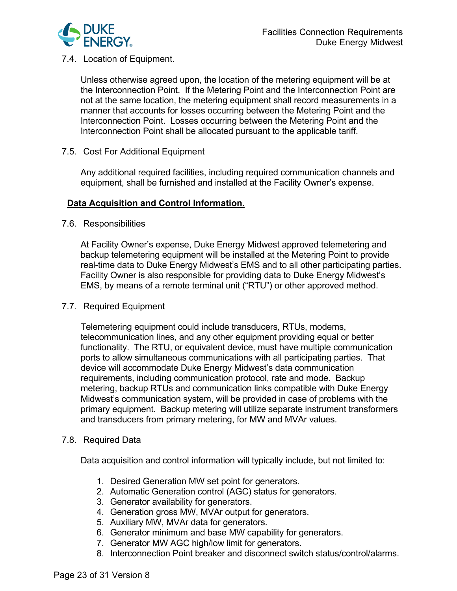

7.4. Location of Equipment.

Unless otherwise agreed upon, the location of the metering equipment will be at the Interconnection Point. If the Metering Point and the Interconnection Point are not at the same location, the metering equipment shall record measurements in a manner that accounts for losses occurring between the Metering Point and the Interconnection Point. Losses occurring between the Metering Point and the Interconnection Point shall be allocated pursuant to the applicable tariff.

7.5. Cost For Additional Equipment

Any additional required facilities, including required communication channels and equipment, shall be furnished and installed at the Facility Owner's expense.

## **Data Acquisition and Control Information.**

7.6. Responsibilities

At Facility Owner's expense, Duke Energy Midwest approved telemetering and backup telemetering equipment will be installed at the Metering Point to provide real-time data to Duke Energy Midwest's EMS and to all other participating parties. Facility Owner is also responsible for providing data to Duke Energy Midwest's EMS, by means of a remote terminal unit ("RTU") or other approved method.

## 7.7. Required Equipment

Telemetering equipment could include transducers, RTUs, modems, telecommunication lines, and any other equipment providing equal or better functionality. The RTU, or equivalent device, must have multiple communication ports to allow simultaneous communications with all participating parties. That device will accommodate Duke Energy Midwest's data communication requirements, including communication protocol, rate and mode. Backup metering, backup RTUs and communication links compatible with Duke Energy Midwest's communication system, will be provided in case of problems with the primary equipment. Backup metering will utilize separate instrument transformers and transducers from primary metering, for MW and MVAr values.

#### 7.8. Required Data

Data acquisition and control information will typically include, but not limited to:

- 1. Desired Generation MW set point for generators.
- 2. Automatic Generation control (AGC) status for generators.
- 3. Generator availability for generators.
- 4. Generation gross MW, MVAr output for generators.
- 5. Auxiliary MW, MVAr data for generators.
- 6. Generator minimum and base MW capability for generators.
- 7. Generator MW AGC high/low limit for generators.
- 8. Interconnection Point breaker and disconnect switch status/control/alarms.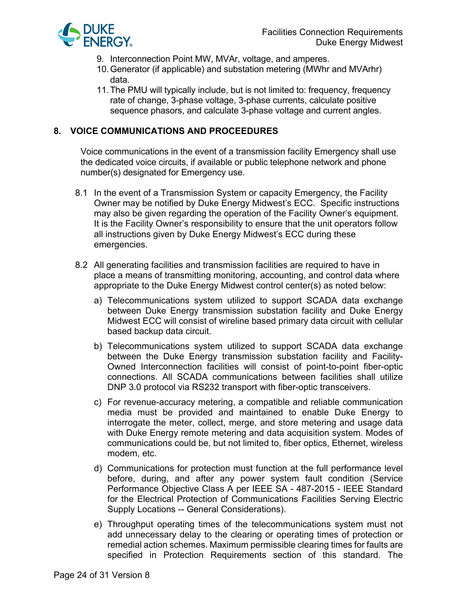

- 9. Interconnection Point MW, MVAr, voltage, and amperes.
- 10.Generator (if applicable) and substation metering (MWhr and MVArhr) data.
- 11.The PMU will typically include, but is not limited to: frequency, frequency rate of change, 3-phase voltage, 3-phase currents, calculate positive sequence phasors, and calculate 3-phase voltage and current angles.

# **8. VOICE COMMUNICATIONS AND PROCEEDURES**

Voice communications in the event of a transmission facility Emergency shall use the dedicated voice circuits, if available or public telephone network and phone number(s) designated for Emergency use.

- 8.1 In the event of a Transmission System or capacity Emergency, the Facility Owner may be notified by Duke Energy Midwest's ECC. Specific instructions may also be given regarding the operation of the Facility Owner's equipment. It is the Facility Owner's responsibility to ensure that the unit operators follow all instructions given by Duke Energy Midwest's ECC during these emergencies.
- 8.2 All generating facilities and transmission facilities are required to have in place a means of transmitting monitoring, accounting, and control data where appropriate to the Duke Energy Midwest control center(s) as noted below:
	- a) Telecommunications system utilized to support SCADA data exchange between Duke Energy transmission substation facility and Duke Energy Midwest ECC will consist of wireline based primary data circuit with cellular based backup data circuit.
	- b) Telecommunications system utilized to support SCADA data exchange between the Duke Energy transmission substation facility and Facility-Owned Interconnection facilities will consist of point-to-point fiber-optic connections. All SCADA communications between facilities shall utilize DNP 3.0 protocol via RS232 transport with fiber-optic transceivers.
	- c) For revenue-accuracy metering, a compatible and reliable communication media must be provided and maintained to enable Duke Energy to interrogate the meter, collect, merge, and store metering and usage data with Duke Energy remote metering and data acquisition system. Modes of communications could be, but not limited to, fiber optics, Ethernet, wireless modem, etc.
	- d) Communications for protection must function at the full performance level before, during, and after any power system fault condition (Service Performance Objective Class A per IEEE SA - 487-2015 - IEEE Standard for the Electrical Protection of Communications Facilities Serving Electric Supply Locations -- General Considerations).
	- e) Throughput operating times of the telecommunications system must not add unnecessary delay to the clearing or operating times of protection or remedial action schemes. Maximum permissible clearing times for faults are specified in Protection Requirements section of this standard. The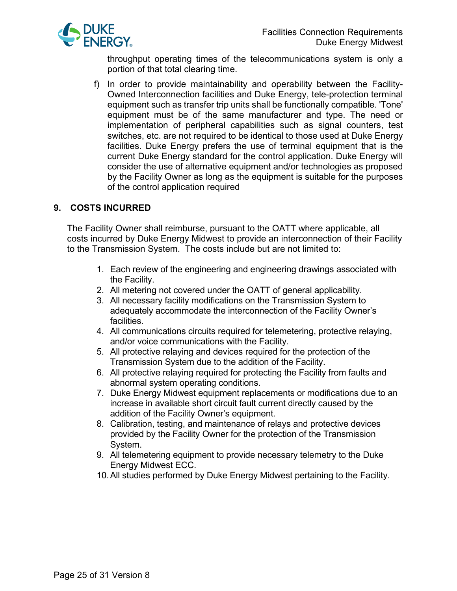

throughput operating times of the telecommunications system is only a portion of that total clearing time.

f) In order to provide maintainability and operability between the Facility-Owned Interconnection facilities and Duke Energy, tele-protection terminal equipment such as transfer trip units shall be functionally compatible. 'Tone' equipment must be of the same manufacturer and type. The need or implementation of peripheral capabilities such as signal counters, test switches, etc. are not required to be identical to those used at Duke Energy facilities. Duke Energy prefers the use of terminal equipment that is the current Duke Energy standard for the control application. Duke Energy will consider the use of alternative equipment and/or technologies as proposed by the Facility Owner as long as the equipment is suitable for the purposes of the control application required

# **9. COSTS INCURRED**

The Facility Owner shall reimburse, pursuant to the OATT where applicable, all costs incurred by Duke Energy Midwest to provide an interconnection of their Facility to the Transmission System. The costs include but are not limited to:

- 1. Each review of the engineering and engineering drawings associated with the Facility.
- 2. All metering not covered under the OATT of general applicability.
- 3. All necessary facility modifications on the Transmission System to adequately accommodate the interconnection of the Facility Owner's facilities.
- 4. All communications circuits required for telemetering, protective relaying, and/or voice communications with the Facility.
- 5. All protective relaying and devices required for the protection of the Transmission System due to the addition of the Facility.
- 6. All protective relaying required for protecting the Facility from faults and abnormal system operating conditions.
- 7. Duke Energy Midwest equipment replacements or modifications due to an increase in available short circuit fault current directly caused by the addition of the Facility Owner's equipment.
- 8. Calibration, testing, and maintenance of relays and protective devices provided by the Facility Owner for the protection of the Transmission System.
- 9. All telemetering equipment to provide necessary telemetry to the Duke Energy Midwest ECC.
- 10.All studies performed by Duke Energy Midwest pertaining to the Facility.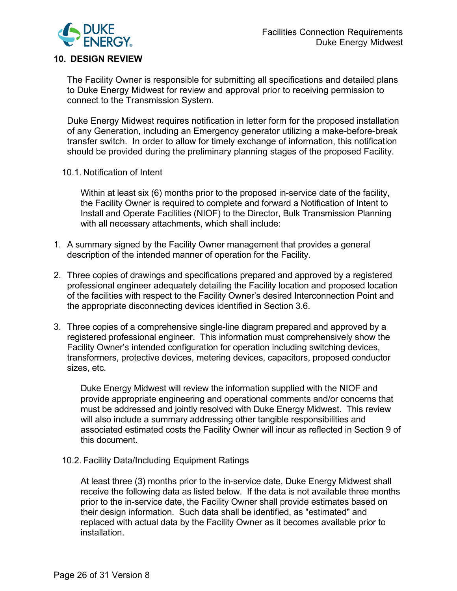

# **10. DESIGN REVIEW**

The Facility Owner is responsible for submitting all specifications and detailed plans to Duke Energy Midwest for review and approval prior to receiving permission to connect to the Transmission System.

Duke Energy Midwest requires notification in letter form for the proposed installation of any Generation, including an Emergency generator utilizing a make-before-break transfer switch. In order to allow for timely exchange of information, this notification should be provided during the preliminary planning stages of the proposed Facility.

10.1. Notification of Intent

Within at least six (6) months prior to the proposed in-service date of the facility, the Facility Owner is required to complete and forward a Notification of Intent to Install and Operate Facilities (NIOF) to the Director, Bulk Transmission Planning with all necessary attachments, which shall include:

- 1. A summary signed by the Facility Owner management that provides a general description of the intended manner of operation for the Facility.
- 2. Three copies of drawings and specifications prepared and approved by a registered professional engineer adequately detailing the Facility location and proposed location of the facilities with respect to the Facility Owner's desired Interconnection Point and the appropriate disconnecting devices identified in Section 3.6.
- 3. Three copies of a comprehensive single-line diagram prepared and approved by a registered professional engineer. This information must comprehensively show the Facility Owner's intended configuration for operation including switching devices, transformers, protective devices, metering devices, capacitors, proposed conductor sizes, etc.

Duke Energy Midwest will review the information supplied with the NIOF and provide appropriate engineering and operational comments and/or concerns that must be addressed and jointly resolved with Duke Energy Midwest. This review will also include a summary addressing other tangible responsibilities and associated estimated costs the Facility Owner will incur as reflected in Section 9 of this document.

10.2. Facility Data/Including Equipment Ratings

At least three (3) months prior to the in-service date, Duke Energy Midwest shall receive the following data as listed below. If the data is not available three months prior to the in-service date, the Facility Owner shall provide estimates based on their design information. Such data shall be identified, as "estimated" and replaced with actual data by the Facility Owner as it becomes available prior to installation.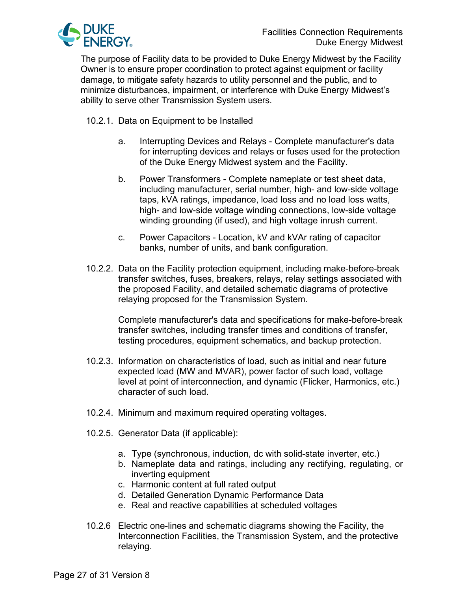

The purpose of Facility data to be provided to Duke Energy Midwest by the Facility Owner is to ensure proper coordination to protect against equipment or facility damage, to mitigate safety hazards to utility personnel and the public, and to minimize disturbances, impairment, or interference with Duke Energy Midwest's ability to serve other Transmission System users.

10.2.1. Data on Equipment to be Installed

- a. Interrupting Devices and Relays Complete manufacturer's data for interrupting devices and relays or fuses used for the protection of the Duke Energy Midwest system and the Facility.
- b. Power Transformers Complete nameplate or test sheet data, including manufacturer, serial number, high- and low-side voltage taps, kVA ratings, impedance, load loss and no load loss watts, high- and low-side voltage winding connections, low-side voltage winding grounding (if used), and high voltage inrush current.
- c. Power Capacitors Location, kV and kVAr rating of capacitor banks, number of units, and bank configuration.
- 10.2.2. Data on the Facility protection equipment, including make-before-break transfer switches, fuses, breakers, relays, relay settings associated with the proposed Facility, and detailed schematic diagrams of protective relaying proposed for the Transmission System.

Complete manufacturer's data and specifications for make-before-break transfer switches, including transfer times and conditions of transfer, testing procedures, equipment schematics, and backup protection.

- 10.2.3. Information on characteristics of load, such as initial and near future expected load (MW and MVAR), power factor of such load, voltage level at point of interconnection, and dynamic (Flicker, Harmonics, etc.) character of such load.
- 10.2.4. Minimum and maximum required operating voltages.
- 10.2.5. Generator Data (if applicable):
	- a. Type (synchronous, induction, dc with solid-state inverter, etc.)
	- b. Nameplate data and ratings, including any rectifying, regulating, or inverting equipment
	- c. Harmonic content at full rated output
	- d. Detailed Generation Dynamic Performance Data
	- e. Real and reactive capabilities at scheduled voltages
- 10.2.6 Electric one-lines and schematic diagrams showing the Facility, the Interconnection Facilities, the Transmission System, and the protective relaying.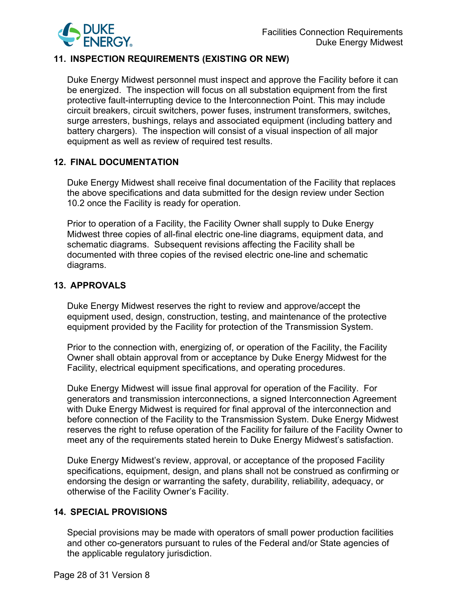

## **11. INSPECTION REQUIREMENTS (EXISTING OR NEW)**

Duke Energy Midwest personnel must inspect and approve the Facility before it can be energized. The inspection will focus on all substation equipment from the first protective fault-interrupting device to the Interconnection Point. This may include circuit breakers, circuit switchers, power fuses, instrument transformers, switches, surge arresters, bushings, relays and associated equipment (including battery and battery chargers). The inspection will consist of a visual inspection of all major equipment as well as review of required test results.

#### **12. FINAL DOCUMENTATION**

Duke Energy Midwest shall receive final documentation of the Facility that replaces the above specifications and data submitted for the design review under Section 10.2 once the Facility is ready for operation.

Prior to operation of a Facility, the Facility Owner shall supply to Duke Energy Midwest three copies of all-final electric one-line diagrams, equipment data, and schematic diagrams. Subsequent revisions affecting the Facility shall be documented with three copies of the revised electric one-line and schematic diagrams.

#### **13. APPROVALS**

Duke Energy Midwest reserves the right to review and approve/accept the equipment used, design, construction, testing, and maintenance of the protective equipment provided by the Facility for protection of the Transmission System.

Prior to the connection with, energizing of, or operation of the Facility, the Facility Owner shall obtain approval from or acceptance by Duke Energy Midwest for the Facility, electrical equipment specifications, and operating procedures.

Duke Energy Midwest will issue final approval for operation of the Facility. For generators and transmission interconnections, a signed Interconnection Agreement with Duke Energy Midwest is required for final approval of the interconnection and before connection of the Facility to the Transmission System. Duke Energy Midwest reserves the right to refuse operation of the Facility for failure of the Facility Owner to meet any of the requirements stated herein to Duke Energy Midwest's satisfaction.

Duke Energy Midwest's review, approval, or acceptance of the proposed Facility specifications, equipment, design, and plans shall not be construed as confirming or endorsing the design or warranting the safety, durability, reliability, adequacy, or otherwise of the Facility Owner's Facility.

## **14. SPECIAL PROVISIONS**

Special provisions may be made with operators of small power production facilities and other co-generators pursuant to rules of the Federal and/or State agencies of the applicable regulatory jurisdiction.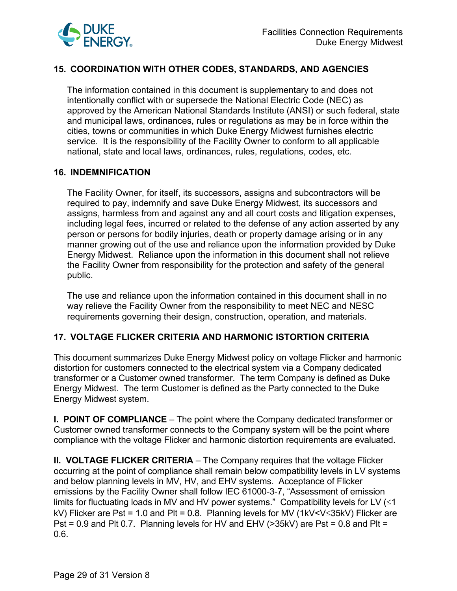

# **15. COORDINATION WITH OTHER CODES, STANDARDS, AND AGENCIES**

The information contained in this document is supplementary to and does not intentionally conflict with or supersede the National Electric Code (NEC) as approved by the American National Standards Institute (ANSI) or such federal, state and municipal laws, ordinances, rules or regulations as may be in force within the cities, towns or communities in which Duke Energy Midwest furnishes electric service. It is the responsibility of the Facility Owner to conform to all applicable national, state and local laws, ordinances, rules, regulations, codes, etc.

## **16. INDEMNIFICATION**

The Facility Owner, for itself, its successors, assigns and subcontractors will be required to pay, indemnify and save Duke Energy Midwest, its successors and assigns, harmless from and against any and all court costs and litigation expenses, including legal fees, incurred or related to the defense of any action asserted by any person or persons for bodily injuries, death or property damage arising or in any manner growing out of the use and reliance upon the information provided by Duke Energy Midwest. Reliance upon the information in this document shall not relieve the Facility Owner from responsibility for the protection and safety of the general public.

The use and reliance upon the information contained in this document shall in no way relieve the Facility Owner from the responsibility to meet NEC and NESC requirements governing their design, construction, operation, and materials.

## **17. VOLTAGE FLICKER CRITERIA AND HARMONIC ISTORTION CRITERIA**

This document summarizes Duke Energy Midwest policy on voltage Flicker and harmonic distortion for customers connected to the electrical system via a Company dedicated transformer or a Customer owned transformer. The term Company is defined as Duke Energy Midwest. The term Customer is defined as the Party connected to the Duke Energy Midwest system.

**I. POINT OF COMPLIANCE** – The point where the Company dedicated transformer or Customer owned transformer connects to the Company system will be the point where compliance with the voltage Flicker and harmonic distortion requirements are evaluated.

**II. VOLTAGE FLICKER CRITERIA** – The Company requires that the voltage Flicker occurring at the point of compliance shall remain below compatibility levels in LV systems and below planning levels in MV, HV, and EHV systems. Acceptance of Flicker emissions by the Facility Owner shall follow IEC 61000-3-7, "Assessment of emission limits for fluctuating loads in MV and HV power systems." Compatibility levels for LV  $(\leq 1)$ kV) Flicker are Pst = 1.0 and Plt = 0.8. Planning levels for MV (1kV<V≤35kV) Flicker are Pst =  $0.9$  and Plt 0.7. Planning levels for HV and EHV ( $>$ 35kV) are Pst = 0.8 and Plt = 0.6.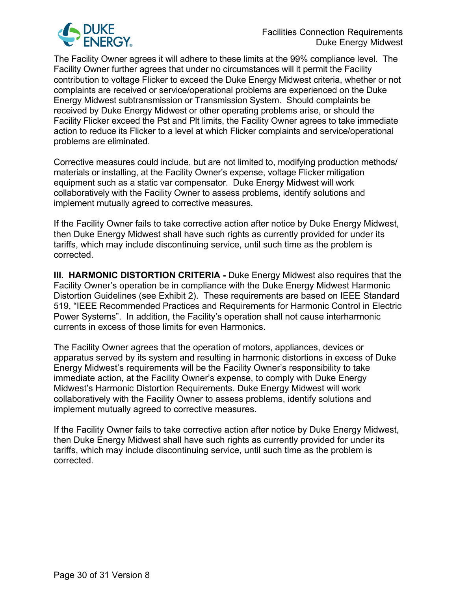

The Facility Owner agrees it will adhere to these limits at the 99% compliance level. The Facility Owner further agrees that under no circumstances will it permit the Facility contribution to voltage Flicker to exceed the Duke Energy Midwest criteria, whether or not complaints are received or service/operational problems are experienced on the Duke Energy Midwest subtransmission or Transmission System. Should complaints be received by Duke Energy Midwest or other operating problems arise, or should the Facility Flicker exceed the Pst and Plt limits, the Facility Owner agrees to take immediate action to reduce its Flicker to a level at which Flicker complaints and service/operational problems are eliminated.

Corrective measures could include, but are not limited to, modifying production methods/ materials or installing, at the Facility Owner's expense, voltage Flicker mitigation equipment such as a static var compensator. Duke Energy Midwest will work collaboratively with the Facility Owner to assess problems, identify solutions and implement mutually agreed to corrective measures.

If the Facility Owner fails to take corrective action after notice by Duke Energy Midwest, then Duke Energy Midwest shall have such rights as currently provided for under its tariffs, which may include discontinuing service, until such time as the problem is corrected.

**III. HARMONIC DISTORTION CRITERIA -** Duke Energy Midwest also requires that the Facility Owner's operation be in compliance with the Duke Energy Midwest Harmonic Distortion Guidelines (see Exhibit 2). These requirements are based on IEEE Standard 519, "IEEE Recommended Practices and Requirements for Harmonic Control in Electric Power Systems". In addition, the Facility's operation shall not cause interharmonic currents in excess of those limits for even Harmonics.

The Facility Owner agrees that the operation of motors, appliances, devices or apparatus served by its system and resulting in harmonic distortions in excess of Duke Energy Midwest's requirements will be the Facility Owner's responsibility to take immediate action, at the Facility Owner's expense, to comply with Duke Energy Midwest's Harmonic Distortion Requirements. Duke Energy Midwest will work collaboratively with the Facility Owner to assess problems, identify solutions and implement mutually agreed to corrective measures.

If the Facility Owner fails to take corrective action after notice by Duke Energy Midwest, then Duke Energy Midwest shall have such rights as currently provided for under its tariffs, which may include discontinuing service, until such time as the problem is corrected.